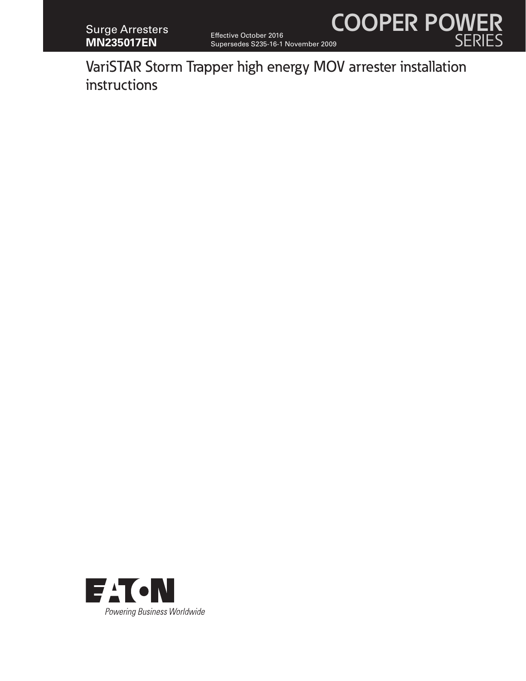

VariSTAR Storm Trapper high energy MOV arrester installation instructions

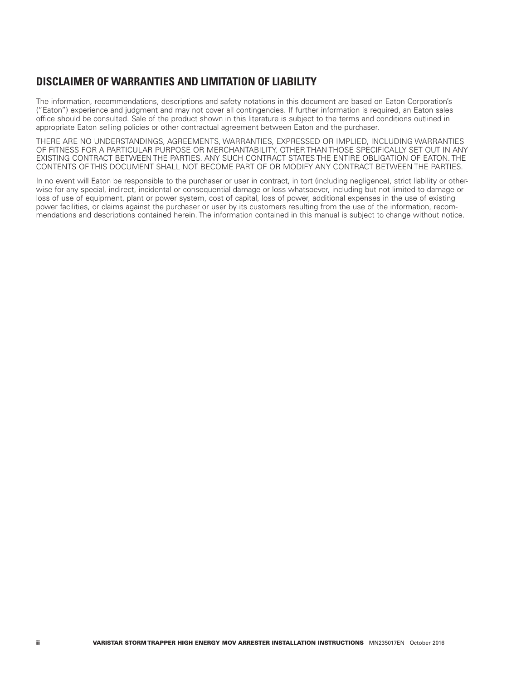# **DISCLAIMER OF WARRANTIES AND LIMITATION OF LIABILITY**

The information, recommendations, descriptions and safety notations in this document are based on Eaton Corporation's ("Eaton") experience and judgment and may not cover all contingencies. If further information is required, an Eaton sales office should be consulted. Sale of the product shown in this literature is subject to the terms and conditions outlined in appropriate Eaton selling policies or other contractual agreement between Eaton and the purchaser.

THERE ARE NO UNDERSTANDINGS, AGREEMENTS, WARRANTIES, EXPRESSED OR IMPLIED, INCLUDING WARRANTIES OF FITNESS FOR A PARTICULAR PURPOSE OR MERCHANTABILITY, OTHER THAN THOSE SPECIFICALLY SET OUT IN ANY EXISTING CONTRACT BETWEEN THE PARTIES. ANY SUCH CONTRACT STATES THE ENTIRE OBLIGATION OF EATON. THE CONTENTS OF THIS DOCUMENT SHALL NOT BECOME PART OF OR MODIFY ANY CONTRACT BETWEEN THE PARTIES.

In no event will Eaton be responsible to the purchaser or user in contract, in tort (including negligence), strict liability or otherwise for any special, indirect, incidental or consequential damage or loss whatsoever, including but not limited to damage or loss of use of equipment, plant or power system, cost of capital, loss of power, additional expenses in the use of existing power facilities, or claims against the purchaser or user by its customers resulting from the use of the information, recommendations and descriptions contained herein. The information contained in this manual is subject to change without notice.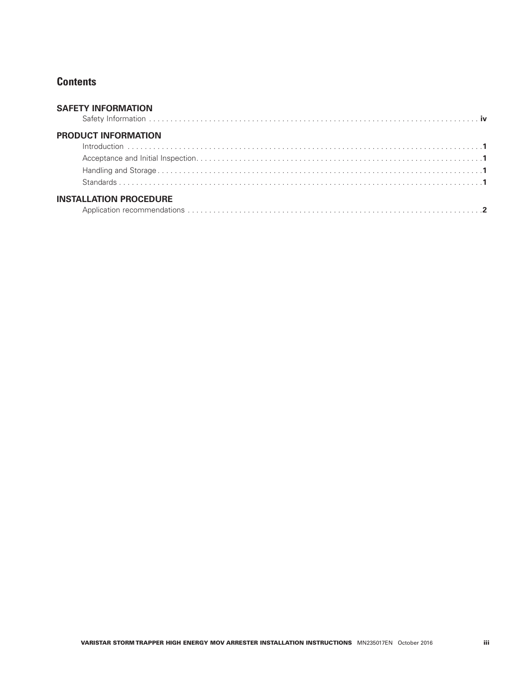## **Contents**

| <b>SAFETY INFORMATION</b>     |  |
|-------------------------------|--|
| <b>PRODUCT INFORMATION</b>    |  |
|                               |  |
|                               |  |
|                               |  |
|                               |  |
| <b>INSTALLATION PROCEDURE</b> |  |
|                               |  |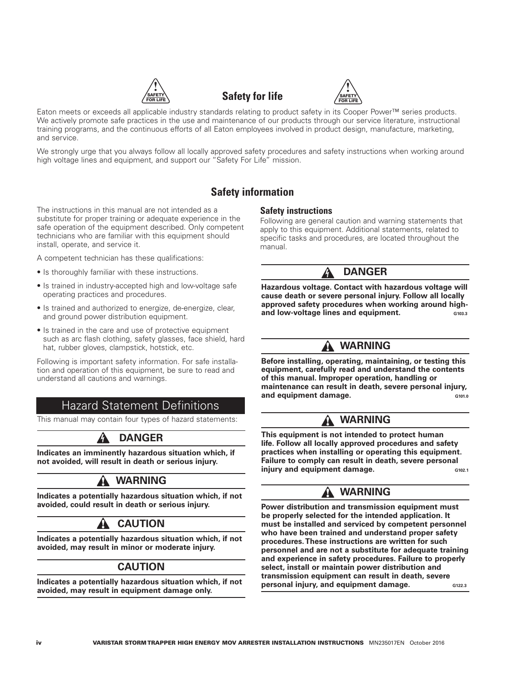





Eaton meets or exceeds all applicable industry standards relating to product safety in its Cooper Power™ series products. We actively promote safe practices in the use and maintenance of our products through our service literature, instructional training programs, and the continuous efforts of all Eaton employees involved in product design, manufacture, marketing, and service.

We strongly urge that you always follow all locally approved safety procedures and safety instructions when working around high voltage lines and equipment, and support our "Safety For Life" mission.

## **Safety information**

The instructions in this manual are not intended as a substitute for proper training or adequate experience in the safe operation of the equipment described. Only competent technicians who are familiar with this equipment should install, operate, and service it.

A competent technician has these qualifications:

- Is thoroughly familiar with these instructions.
- Is trained in industry-accepted high and low-voltage safe operating practices and procedures.
- Is trained and authorized to energize, de-energize, clear, and ground power distribution equipment.
- Is trained in the care and use of protective equipment such as arc flash clothing, safety glasses, face shield, hard hat, rubber gloves, clampstick, hotstick, etc.

Following is important safety information. For safe installation and operation of this equipment, be sure to read and understand all cautions and warnings.

## **Hazard Statement Definitions**

This manual may contain four types of hazard statements:

## **DANGER**

**Indicates an imminently hazardous situation which, if not avoided, will result in death or serious injury.**

## **WARNING**

**Indicates a potentially hazardous situation which, if not avoided, could result in death or serious injury.**

## **CAUTION**

**Indicates a potentially hazardous situation which, if not avoided, may result in minor or moderate injury.**

#### **CAUTION**

**Indicates a potentially hazardous situation which, if not avoided, may result in equipment damage only.**

#### **Safety instructions**

Following are general caution and warning statements that apply to this equipment. Additional statements, related to specific tasks and procedures, are located throughout the manual.

#### **DANGER**

**Hazardous voltage. Contact with hazardous voltage will cause death or severe personal injury. Follow all locally approved safety procedures when working around high**and low-voltage lines and equipment. **G103.3** 

## **WARNING**

**Before installing, operating, maintaining, or testing this equipment, carefully read and understand the contents of this manual. Improper operation, handling or maintenance can result in death, severe personal injury, and equipment damage.** G101.0

## **WARNING**

**This equipment is not intended to protect human life. Follow all locally approved procedures and safety practices when installing or operating this equipment. Failure to comply can result in death, severe personal injury and equipment damage.** G102.1

## **WARNING**

**Power distribution and transmission equipment must be properly selected for the intended application. It must be installed and serviced by competent personnel who have been trained and understand proper safety procedures. These instructions are written for such personnel and are not a substitute for adequate training and experience in safety procedures. Failure to properly select, install or maintain power distribution and transmission equipment can result in death, severe personal injury, and equipment damage.** G122.3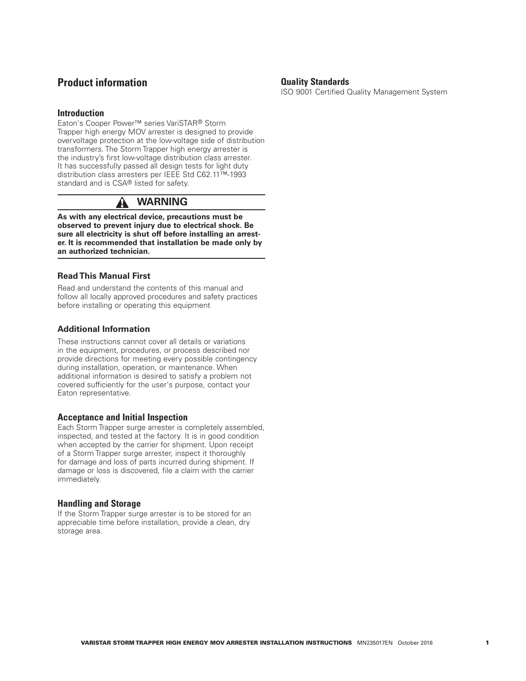#### **Product information**

#### **Introduction**

Eaton's Cooper Power™ series VariSTAR® Storm Trapper high energy MOV arrester is designed to provide overvoltage protection at the low-voltage side of distribution transformers. The Storm Trapper high energy arrester is the industry's first low-voltage distribution class arrester. It has successfully passed all design tests for light duty distribution class arresters per IEEE Std C62.11™-1993 standard and is CSA® listed for safety.

#### A  **WARNING**

**As with any electrical device, precautions must be observed to prevent injury due to electrical shock. Be sure all electricity is shut off before installing an arrester. It is recommended that installation be made only by an authorized technician.**

#### **Read This Manual First**

Read and understand the contents of this manual and follow all locally approved procedures and safety practices before installing or operating this equipment

#### **Additional Information**

These instructions cannot cover all details or variations in the equipment, procedures, or process described nor provide directions for meeting every possible contingency during installation, operation, or maintenance. When additional information is desired to satisfy a problem not covered sufficiently for the user's purpose, contact your Eaton representative.

#### **Acceptance and Initial Inspection**

Each Storm Trapper surge arrester is completely assembled, inspected, and tested at the factory. It is in good condition when accepted by the carrier for shipment. Upon receipt of a Storm Trapper surge arrester, inspect it thoroughly for damage and loss of parts incurred during shipment. If damage or loss is discovered, file a claim with the carrier immediately.

#### **Handling and Storage**

If the Storm Trapper surge arrester is to be stored for an appreciable time before installation, provide a clean, dry storage area.

#### **Quality Standards**

ISO 9001 Certified Quality Management System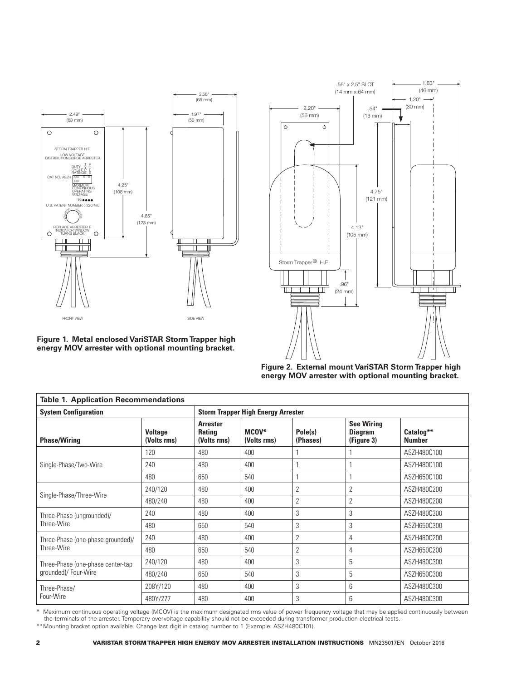





**Figure 2. External mount VariSTAR Storm Trapper high energy MOV arrester with optional mounting bracket.**

| <b>Table 1. Application Recommendations</b> |                               |                                                 |                      |                     |                                                   |                            |  |  |  |
|---------------------------------------------|-------------------------------|-------------------------------------------------|----------------------|---------------------|---------------------------------------------------|----------------------------|--|--|--|
| <b>System Configuration</b>                 |                               | <b>Storm Trapper High Energy Arrester</b>       |                      |                     |                                                   |                            |  |  |  |
| <b>Phase/Wiring</b>                         | <b>Voltage</b><br>(Volts rms) | <b>Arrester</b><br><b>Rating</b><br>(Volts rms) | MCOV*<br>(Volts rms) | Pole(s)<br>(Phases) | <b>See Wiring</b><br><b>Diagram</b><br>(Figure 3) | Catalog**<br><b>Number</b> |  |  |  |
|                                             | 120                           | 480                                             | 400                  |                     |                                                   | ASZH480C100                |  |  |  |
| Single-Phase/Two-Wire                       | 240                           | 480                                             | 400                  |                     |                                                   | ASZH480C100                |  |  |  |
|                                             | 480                           | 650                                             | 540                  |                     | 1                                                 | ASZH650C100                |  |  |  |
|                                             | 240/120                       | 480                                             | 400                  | 2                   | $\overline{2}$                                    | ASZH480C200                |  |  |  |
| Single-Phase/Three-Wire                     | 480/240                       | 480                                             | 400                  | 2                   | 2                                                 | ASZH480C200                |  |  |  |
| Three-Phase (ungrounded)/                   | 240                           | 480                                             | 400                  | 3                   | 3                                                 | ASZH480C300                |  |  |  |
| Three-Wire                                  | 480                           | 650                                             | 540                  | 3                   | 3                                                 | ASZH650C300                |  |  |  |
| Three-Phase (one-phase grounded)/           | 240                           | 480                                             | 400                  | 2                   | 4                                                 | ASZH480C200                |  |  |  |
| Three-Wire                                  | 480                           | 650                                             | 540                  | 2                   | 4                                                 | ASZH650C200                |  |  |  |
| Three-Phase (one-phase center-tap           | 240/120                       | 480                                             | 400                  | 3                   | 5                                                 | ASZH480C300                |  |  |  |
| grounded)/ Four-Wire                        | 480/240                       | 650                                             | 540                  | 3                   | 5                                                 | ASZH650C300                |  |  |  |
| Three-Phase/                                | 208Y/120                      | 480                                             | 400                  | 3                   | 6                                                 | ASZH480C300                |  |  |  |
| Four-Wire                                   | 480Y/277                      | 480                                             | 400                  | 3                   | 6                                                 | ASZH480C300                |  |  |  |

\* Maximum continuous operating voltage (MCOV) is the maximum designated rms value of power frequency voltage that may be applied continuously between the terminals of the arrester. Temporary overvoltage capability should not be exceeded during transformer production electrical tests.

\*\*Mounting bracket option available. Change last digit in catalog number to 1 (Example: ASZH480C101).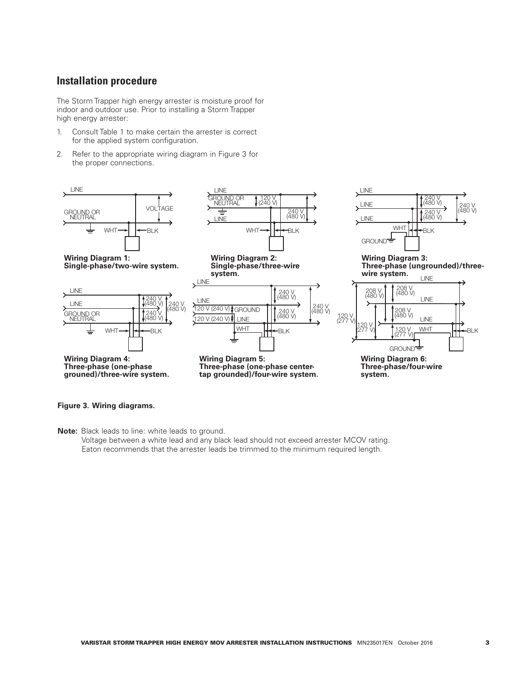## **Installation procedure**

The Storm Trapper high energy arrester is moisture proof for indoor and outdoor use. Prior to installing a Storm Trapper high energy arrester:

- 1. Consult Table 1 to make certain the arrester is correct for the applied system configuration.
- 2. Refer to the appropriate wiring diagram in Figure 3 for the proper connections.



#### **Figure 3. Wiring diagrams.**

**Note:** Black leads to line: white leads to ground.

Voltage between a white lead and any black lead should not exceed arrester MCOV rating. Eaton recommends that the arrester leads be trimmed to the minimum required length.